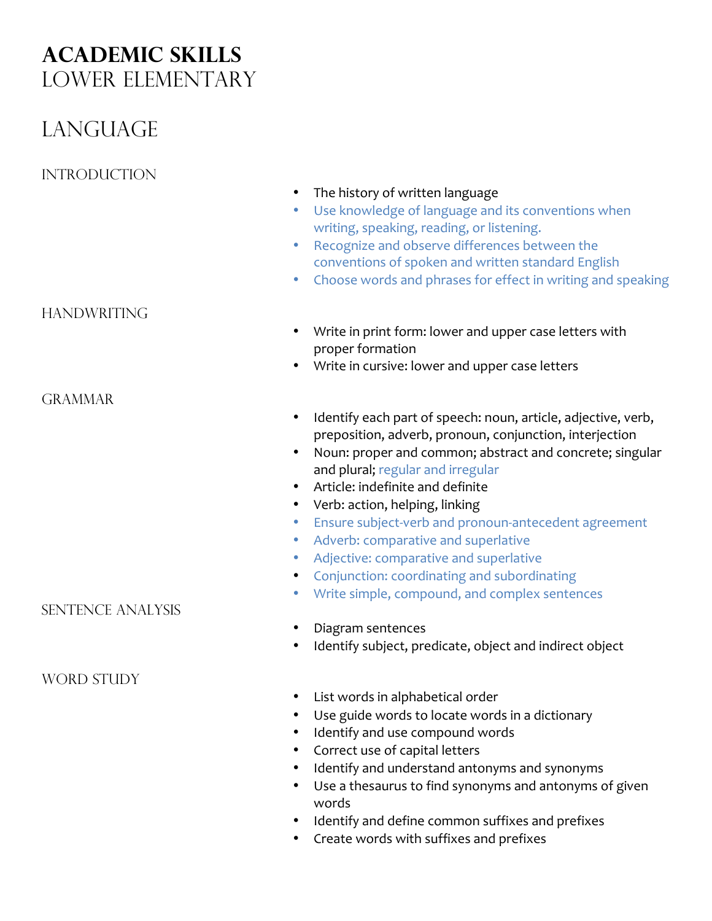# **Academic Skills** Lower Elementary

# LANGUAGE

## **INTRODUCTION**

### • Use knowledge of language and its conventions when writing, speaking, reading, or listening. • Recognize and observe differences between the conventions of spoken and written standard English • Choose words and phrases for effect in writing and speaking **HANDWRITING** • Write in print form: lower and upper case letters with proper formation • Write in cursive: lower and upper case letters **GRAMMAR** • Identify each part of speech: noun, article, adjective, verb, preposition, adverb, pronoun, conjunction, interjection • Noun: proper and common; abstract and concrete; singular and plural; regular and irregular • Article: indefinite and definite • Verb: action, helping, linking • Ensure subject-verb and pronoun-antecedent agreement

• Adverb: comparative and superlative

• The history of written language

- Adjective: comparative and superlative
- Conjunction: coordinating and subordinating
- Write simple, compound, and complex sentences
- Diagram sentences
- Identify subject, predicate, object and indirect object
- List words in alphabetical order
- Use guide words to locate words in a dictionary
- Identify and use compound words
- Correct use of capital letters
- Identify and understand antonyms and synonyms
- Use a thesaurus to find synonyms and antonyms of given words
- Identify and define common suffixes and prefixes
- Create words with suffixes and prefixes

Sentence Analysis

### WORD STUDY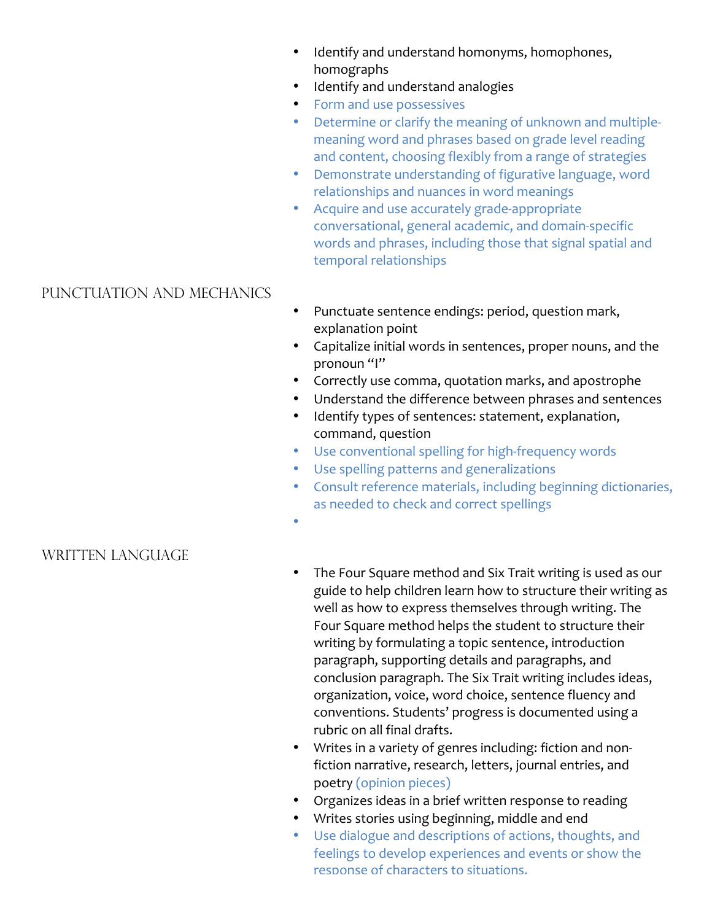- Identify and understand homonyms, homophones, homographs
- Identify and understand analogies
- Form and use possessives
- Determine or clarify the meaning of unknown and multiplemeaning word and phrases based on grade level reading and content, choosing flexibly from a range of strategies
- Demonstrate understanding of figurative language, word relationships and nuances in word meanings
- Acquire and use accurately grade-appropriate conversational, general academic, and domain-specific words and phrases, including those that signal spatial and temporal relationships

#### Punctuation and Mechanics

- Punctuate sentence endings: period, question mark, explanation point
- Capitalize initial words in sentences, proper nouns, and the pronoun "I"
- Correctly use comma, quotation marks, and apostrophe
- Understand the difference between phrases and sentences
- Identify types of sentences: statement, explanation, command, question
- Use conventional spelling for high-frequency words
- Use spelling patterns and generalizations
- Consult reference materials, including beginning dictionaries, as needed to check and correct spellings
- •

#### WRITTEN LANGUAGE

- The Four Square method and Six Trait writing is used as our guide to help children learn how to structure their writing as well as how to express themselves through writing. The Four Square method helps the student to structure their writing by formulating a topic sentence, introduction paragraph, supporting details and paragraphs, and conclusion paragraph. The Six Trait writing includes ideas, organization, voice, word choice, sentence fluency and conventions. Students' progress is documented using a rubric on all final drafts.
- Writes in a variety of genres including: fiction and nonfiction narrative, research, letters, journal entries, and poetry (opinion pieces)
- Organizes ideas in a brief written response to reading
- Writes stories using beginning, middle and end
- Use dialogue and descriptions of actions, thoughts, and feelings to develop experiences and events or show the response of characters to situations.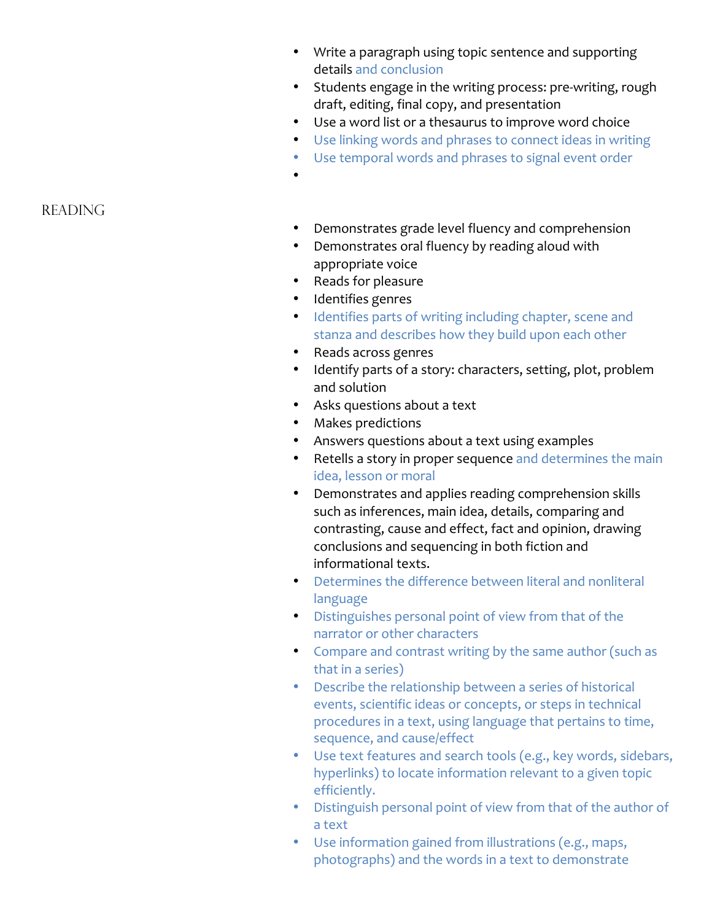- Write a paragraph using topic sentence and supporting details and conclusion
- Students engage in the writing process: pre-writing, rough draft, editing, final copy, and presentation
- Use a word list or a thesaurus to improve word choice
- Use linking words and phrases to connect ideas in writing
- Use temporal words and phrases to signal event order

**READING** 

- Demonstrates grade level fluency and comprehension
- Demonstrates oral fluency by reading aloud with appropriate voice
- Reads for pleasure

•

- Identifies genres
- Identifies parts of writing including chapter, scene and stanza and describes how they build upon each other
- Reads across genres
- Identify parts of a story: characters, setting, plot, problem and solution
- Asks questions about a text
- Makes predictions
- Answers questions about a text using examples
- Retells a story in proper sequence and determines the main idea, lesson or moral
- Demonstrates and applies reading comprehension skills such as inferences, main idea, details, comparing and contrasting, cause and effect, fact and opinion, drawing conclusions and sequencing in both fiction and informational texts.
- Determines the difference between literal and nonliteral language
- Distinguishes personal point of view from that of the narrator or other characters
- Compare and contrast writing by the same author (such as that in a series)
- Describe the relationship between a series of historical events, scientific ideas or concepts, or steps in technical procedures in a text, using language that pertains to time, sequence, and cause/effect
- Use text features and search tools (e.g., key words, sidebars, hyperlinks) to locate information relevant to a given topic efficiently.
- Distinguish personal point of view from that of the author of a text
- Use information gained from illustrations (e.g., maps, photographs) and the words in a text to demonstrate